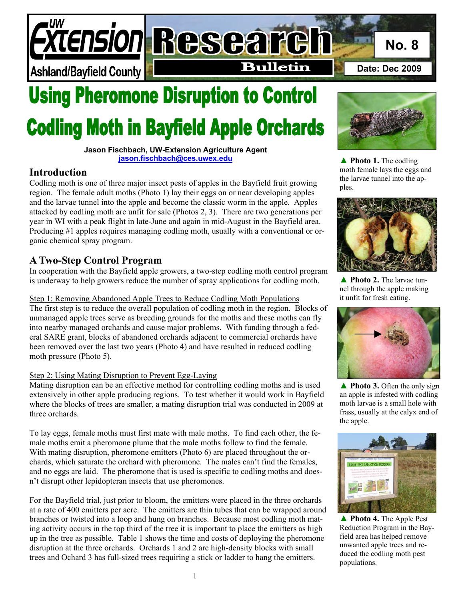*TENSION Researcl* **No. 8 Bulletin Date: Dec 2009 Ashland/Bayfield County** 

# **Using Pheromone Disruption to Control Codling Moth in Bayfield Apple Orchards**

**Jason Fischbach, UW-Extension Agriculture Agent jason.fischbach@ces.uwex.edu**

## **Introduction**

Codling moth is one of three major insect pests of apples in the Bayfield fruit growing region. The female adult moths (Photo 1) lay their eggs on or near developing apples and the larvae tunnel into the apple and become the classic worm in the apple. Apples attacked by codling moth are unfit for sale (Photos 2, 3). There are two generations per year in WI with a peak flight in late-June and again in mid-August in the Bayfield area. Producing #1 apples requires managing codling moth, usually with a conventional or organic chemical spray program.

# **A Two-Step Control Program**

In cooperation with the Bayfield apple growers, a two-step codling moth control program is underway to help growers reduce the number of spray applications for codling moth.

#### Step 1: Removing Abandoned Apple Trees to Reduce Codling Moth Populations

The first step is to reduce the overall population of codling moth in the region. Blocks of unmanaged apple trees serve as breeding grounds for the moths and these moths can fly into nearby managed orchards and cause major problems. With funding through a federal SARE grant, blocks of abandoned orchards adjacent to commercial orchards have been removed over the last two years (Photo 4) and have resulted in reduced codling moth pressure (Photo 5).

#### Step 2: Using Mating Disruption to Prevent Egg-Laying

Mating disruption can be an effective method for controlling codling moths and is used extensively in other apple producing regions. To test whether it would work in Bayfield where the blocks of trees are smaller, a mating disruption trial was conducted in 2009 at three orchards.

To lay eggs, female moths must first mate with male moths. To find each other, the female moths emit a pheromone plume that the male moths follow to find the female. With mating disruption, pheromone emitters (Photo 6) are placed throughout the orchards, which saturate the orchard with pheromone. The males can't find the females, and no eggs are laid. The pheromone that is used is specific to codling moths and doesn't disrupt other lepidopteran insects that use pheromones.

For the Bayfield trial, just prior to bloom, the emitters were placed in the three orchards at a rate of 400 emitters per acre. The emitters are thin tubes that can be wrapped around branches or twisted into a loop and hung on branches. Because most codling moth mating activity occurs in the top third of the tree it is important to place the emitters as high up in the tree as possible. Table 1 shows the time and costs of deploying the pheromone disruption at the three orchards. Orchards 1 and 2 are high-density blocks with small trees and Ochard 3 has full-sized trees requiring a stick or ladder to hang the emitters.



**▲ Photo 1.** The codling moth female lays the eggs and the larvae tunnel into the apples.



▲ **Photo 2.** The larvae tunnel through the apple making it unfit for fresh eating.



**▲ Photo 3.** Often the only sign an apple is infested with codling moth larvae is a small hole with frass, usually at the calyx end of the apple.



**▲ Photo 4.** The Apple Pest Reduction Program in the Bayfield area has helped remove unwanted apple trees and reduced the codling moth pest populations.